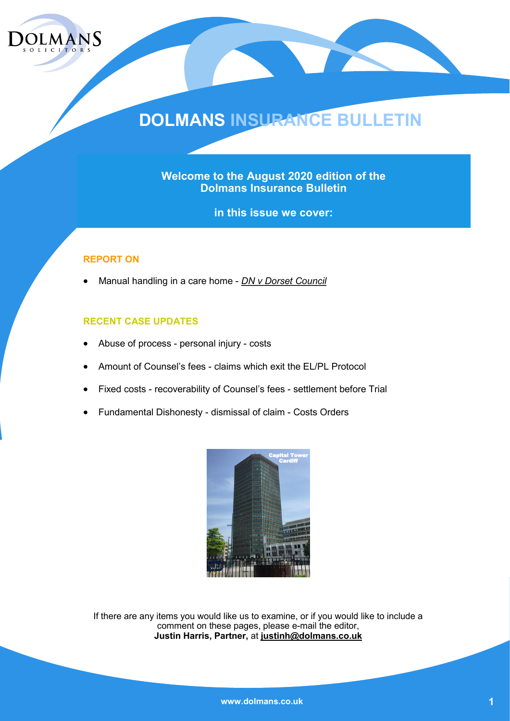

# **DOLMANS INSURANCE BULLETIN**

**Welcome to the August 2020 edition of the Dolmans Insurance Bulletin** 

**in this issue we cover:**

#### **REPORT ON**

• Manual handling in a care home - *DN v Dorset Council*

#### **RECENT CASE UPDATES**

- Abuse of process personal injury costs
- Amount of Counsel's fees claims which exit the EL/PL Protocol
- Fixed costs recoverability of Counsel's fees settlement before Trial
- Fundamental Dishonesty dismissal of claim Costs Orders



If there are any items you would like us to examine, or if you would like to include a comment on these pages, please e-mail the editor, **Justin Harris, Partner,** at **justinh@dolmans.co.uk**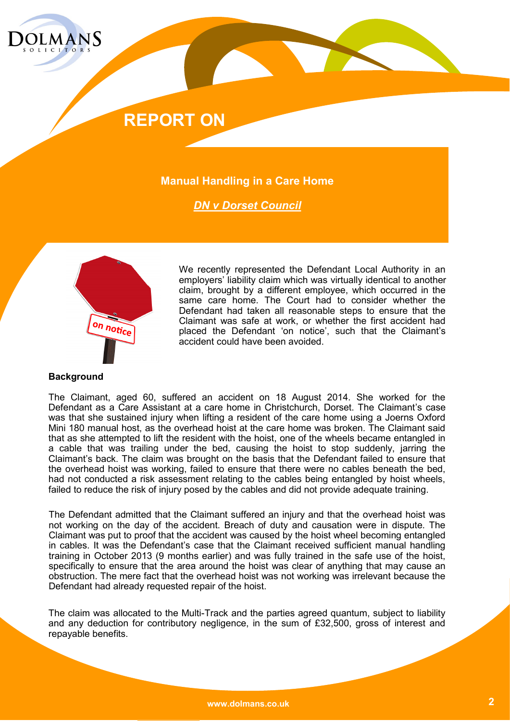

#### **Manual Handling in a Care Home**

*DN v Dorset Council*



We recently represented the Defendant Local Authority in an employers' liability claim which was virtually identical to another claim, brought by a different employee, which occurred in the same care home. The Court had to consider whether the Defendant had taken all reasonable steps to ensure that the Claimant was safe at work, or whether the first accident had placed the Defendant 'on notice', such that the Claimant's accident could have been avoided.

#### **Background**

The Claimant, aged 60, suffered an accident on 18 August 2014. She worked for the Defendant as a Care Assistant at a care home in Christchurch, Dorset. The Claimant's case was that she sustained injury when lifting a resident of the care home using a Joerns Oxford Mini 180 manual host, as the overhead hoist at the care home was broken. The Claimant said that as she attempted to lift the resident with the hoist, one of the wheels became entangled in a cable that was trailing under the bed, causing the hoist to stop suddenly, jarring the Claimant's back. The claim was brought on the basis that the Defendant failed to ensure that the overhead hoist was working, failed to ensure that there were no cables beneath the bed, had not conducted a risk assessment relating to the cables being entangled by hoist wheels, failed to reduce the risk of injury posed by the cables and did not provide adequate training.

The Defendant admitted that the Claimant suffered an injury and that the overhead hoist was not working on the day of the accident. Breach of duty and causation were in dispute. The Claimant was put to proof that the accident was caused by the hoist wheel becoming entangled in cables. It was the Defendant's case that the Claimant received sufficient manual handling training in October 2013 (9 months earlier) and was fully trained in the safe use of the hoist, specifically to ensure that the area around the hoist was clear of anything that may cause an obstruction. The mere fact that the overhead hoist was not working was irrelevant because the Defendant had already requested repair of the hoist.

The claim was allocated to the Multi-Track and the parties agreed quantum, subject to liability and any deduction for contributory negligence, in the sum of £32,500, gross of interest and repayable benefits.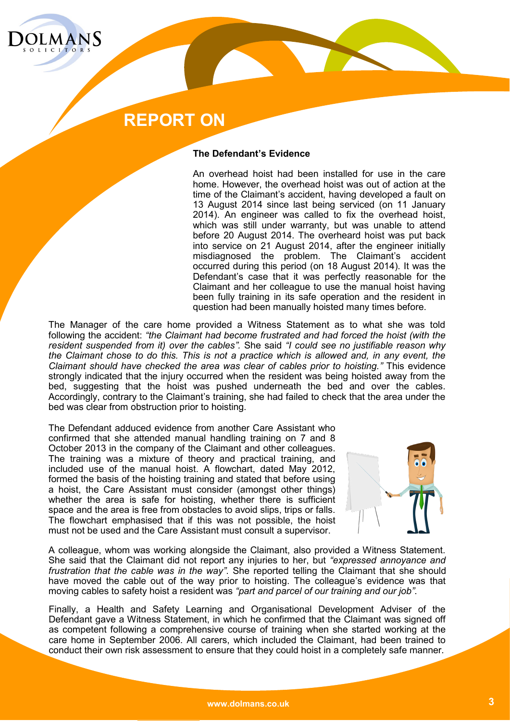

#### **The Defendant's Evidence**

An overhead hoist had been installed for use in the care home. However, the overhead hoist was out of action at the time of the Claimant's accident, having developed a fault on 13 August 2014 since last being serviced (on 11 January 2014). An engineer was called to fix the overhead hoist, which was still under warranty, but was unable to attend before 20 August 2014. The overheard hoist was put back into service on 21 August 2014, after the engineer initially misdiagnosed the problem. The Claimant's accident occurred during this period (on 18 August 2014). It was the Defendant's case that it was perfectly reasonable for the Claimant and her colleague to use the manual hoist having been fully training in its safe operation and the resident in question had been manually hoisted many times before.

The Manager of the care home provided a Witness Statement as to what she was told following the accident: *"the Claimant had become frustrated and had forced the hoist (with the resident suspended from it) over the cables".* She said *"I could see no justifiable reason why the Claimant chose to do this. This is not a practice which is allowed and, in any event, the Claimant should have checked the area was clear of cables prior to hoisting."* This evidence strongly indicated that the injury occurred when the resident was being hoisted away from the bed, suggesting that the hoist was pushed underneath the bed and over the cables. Accordingly, contrary to the Claimant's training, she had failed to check that the area under the bed was clear from obstruction prior to hoisting.

The Defendant adduced evidence from another Care Assistant who confirmed that she attended manual handling training on 7 and 8 October 2013 in the company of the Claimant and other colleagues. The training was a mixture of theory and practical training, and included use of the manual hoist. A flowchart, dated May 2012, formed the basis of the hoisting training and stated that before using a hoist, the Care Assistant must consider (amongst other things) whether the area is safe for hoisting, whether there is sufficient space and the area is free from obstacles to avoid slips, trips or falls. The flowchart emphasised that if this was not possible, the hoist must not be used and the Care Assistant must consult a supervisor.



A colleague, whom was working alongside the Claimant, also provided a Witness Statement. She said that the Claimant did not report any injuries to her, but *"expressed annoyance and frustration that the cable was in the way"*. She reported telling the Claimant that she should have moved the cable out of the way prior to hoisting. The colleague's evidence was that moving cables to safety hoist a resident was *"part and parcel of our training and our job"*.

Finally, a Health and Safety Learning and Organisational Development Adviser of the Defendant gave a Witness Statement, in which he confirmed that the Claimant was signed off as competent following a comprehensive course of training when she started working at the care home in September 2006. All carers, which included the Claimant, had been trained to conduct their own risk assessment to ensure that they could hoist in a completely safe manner.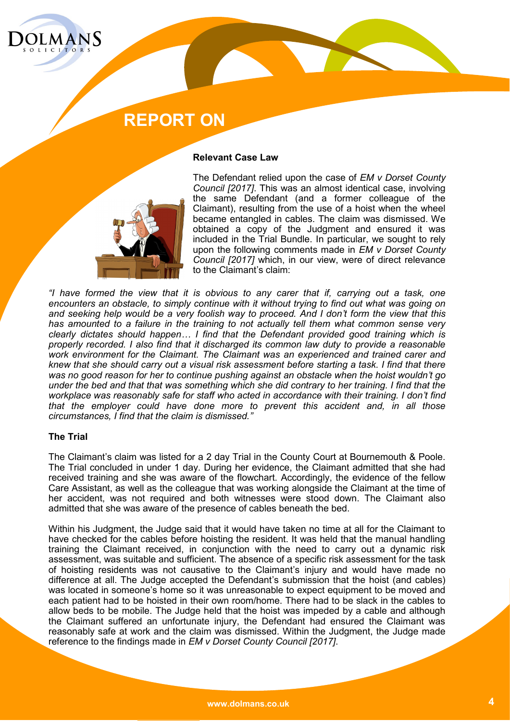

#### **Relevant Case Law**



The Defendant relied upon the case of *EM v Dorset County Council [2017]*. This was an almost identical case, involving the same Defendant (and a former colleague of the Claimant), resulting from the use of a hoist when the wheel became entangled in cables. The claim was dismissed. We obtained a copy of the Judgment and ensured it was included in the Trial Bundle. In particular, we sought to rely upon the following comments made in *EM v Dorset County Council [2017]* which, in our view, were of direct relevance to the Claimant's claim:

*"I have formed the view that it is obvious to any carer that if, carrying out a task, one encounters an obstacle, to simply continue with it without trying to find out what was going on and seeking help would be a very foolish way to proceed. And I don't form the view that this has amounted to a failure in the training to not actually tell them what common sense very clearly dictates should happen… I find that the Defendant provided good training which is properly recorded. I also find that it discharged its common law duty to provide a reasonable work environment for the Claimant. The Claimant was an experienced and trained carer and knew that she should carry out a visual risk assessment before starting a task. I find that there was no good reason for her to continue pushing against an obstacle when the hoist wouldn't go under the bed and that that was something which she did contrary to her training. I find that the workplace was reasonably safe for staff who acted in accordance with their training. I don't find that the employer could have done more to prevent this accident and, in all those circumstances, I find that the claim is dismissed."*

#### **The Trial**

The Claimant's claim was listed for a 2 day Trial in the County Court at Bournemouth & Poole. The Trial concluded in under 1 day. During her evidence, the Claimant admitted that she had received training and she was aware of the flowchart. Accordingly, the evidence of the fellow Care Assistant, as well as the colleague that was working alongside the Claimant at the time of her accident, was not required and both witnesses were stood down. The Claimant also admitted that she was aware of the presence of cables beneath the bed.

Within his Judgment, the Judge said that it would have taken no time at all for the Claimant to have checked for the cables before hoisting the resident. It was held that the manual handling training the Claimant received, in conjunction with the need to carry out a dynamic risk assessment, was suitable and sufficient. The absence of a specific risk assessment for the task of hoisting residents was not causative to the Claimant's injury and would have made no difference at all. The Judge accepted the Defendant's submission that the hoist (and cables) was located in someone's home so it was unreasonable to expect equipment to be moved and each patient had to be hoisted in their own room/home. There had to be slack in the cables to allow beds to be mobile. The Judge held that the hoist was impeded by a cable and although the Claimant suffered an unfortunate injury, the Defendant had ensured the Claimant was reasonably safe at work and the claim was dismissed. Within the Judgment, the Judge made reference to the findings made in *EM v Dorset County Council [2017]*.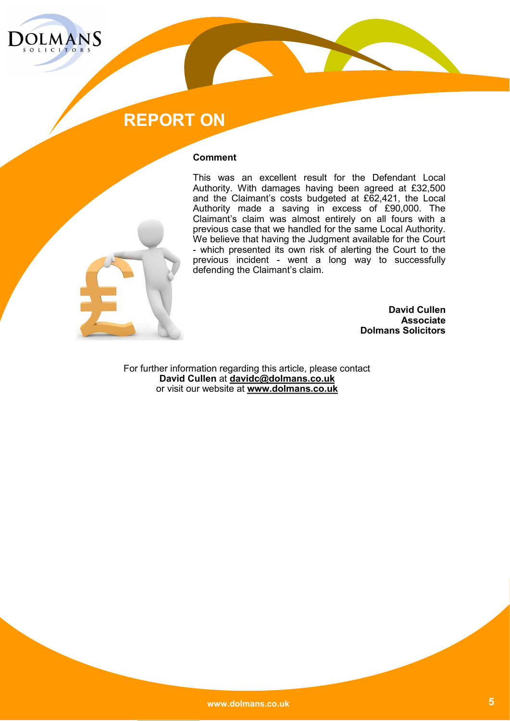

#### **Comment**

This was an excellent result for the Defendant Local Authority. With damages having been agreed at £32,500 and the Claimant's costs budgeted at £62,421, the Local Authority made a saving in excess of £90,000. The Claimant's claim was almost entirely on all fours with a previous case that we handled for the same Local Authority. We believe that having the Judgment available for the Court - which presented its own risk of alerting the Court to the previous incident - went a long way to successfully defending the Claimant's claim.

> **David Cullen Associate Dolmans Solicitors**

For further information regarding this article, please contact **David Cullen** at **davidc@dolmans.co.uk** or visit our website at **www.dolmans.co.uk**

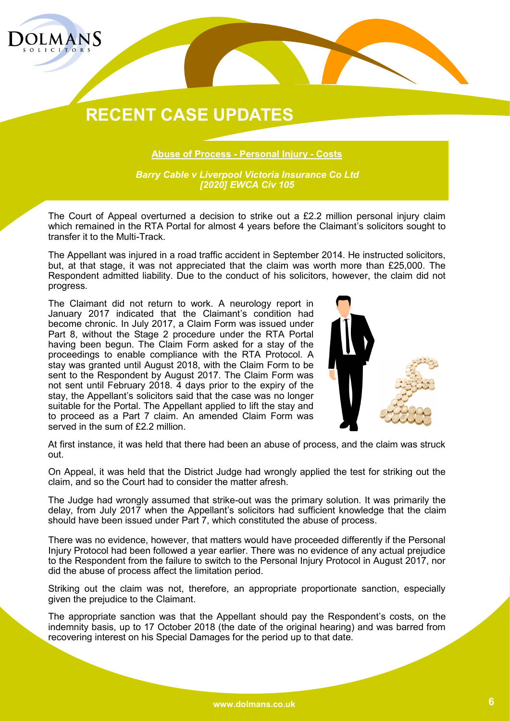

**Abuse of Process - Personal Injury - Costs**

*Barry Cable v Liverpool Victoria Insurance Co Ltd [2020] EWCA Civ 105*

The Court of Appeal overturned a decision to strike out a £2.2 million personal injury claim which remained in the RTA Portal for almost 4 years before the Claimant's solicitors sought to transfer it to the Multi-Track.

The Appellant was injured in a road traffic accident in September 2014. He instructed solicitors, but, at that stage, it was not appreciated that the claim was worth more than £25,000. The Respondent admitted liability. Due to the conduct of his solicitors, however, the claim did not progress.

The Claimant did not return to work. A neurology report in January 2017 indicated that the Claimant's condition had become chronic. In July 2017, a Claim Form was issued under Part 8, without the Stage 2 procedure under the RTA Portal having been begun. The Claim Form asked for a stay of the proceedings to enable compliance with the RTA Protocol. A stay was granted until August 2018, with the Claim Form to be sent to the Respondent by August 2017. The Claim Form was not sent until February 2018. 4 days prior to the expiry of the stay, the Appellant's solicitors said that the case was no longer suitable for the Portal. The Appellant applied to lift the stay and to proceed as a Part 7 claim. An amended Claim Form was served in the sum of £2.2 million.



At first instance, it was held that there had been an abuse of process, and the claim was struck out.

On Appeal, it was held that the District Judge had wrongly applied the test for striking out the claim, and so the Court had to consider the matter afresh.

The Judge had wrongly assumed that strike-out was the primary solution. It was primarily the delay, from July 2017 when the Appellant's solicitors had sufficient knowledge that the claim should have been issued under Part 7, which constituted the abuse of process.

There was no evidence, however, that matters would have proceeded differently if the Personal Injury Protocol had been followed a year earlier. There was no evidence of any actual prejudice to the Respondent from the failure to switch to the Personal Injury Protocol in August 2017, nor did the abuse of process affect the limitation period.

Striking out the claim was not, therefore, an appropriate proportionate sanction, especially given the prejudice to the Claimant.

The appropriate sanction was that the Appellant should pay the Respondent's costs, on the indemnity basis, up to 17 October 2018 (the date of the original hearing) and was barred from recovering interest on his Special Damages for the period up to that date.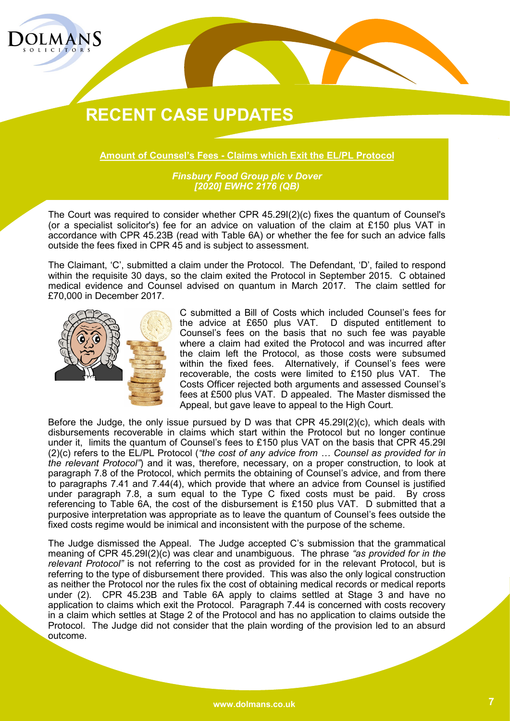

**Amount of Counsel's Fees - Claims which Exit the EL/PL Protocol**

*Finsbury Food Group plc v Dover [2020] EWHC 2176 (QB)*

The Court was required to consider whether CPR 45.29I(2)(c) fixes the quantum of Counsel's (or a specialist solicitor's) fee for an advice on valuation of the claim at £150 plus VAT in accordance with CPR 45.23B (read with Table 6A) or whether the fee for such an advice falls outside the fees fixed in CPR 45 and is subject to assessment.

The Claimant, 'C', submitted a claim under the Protocol. The Defendant, 'D', failed to respond within the requisite 30 days, so the claim exited the Protocol in September 2015. C obtained medical evidence and Counsel advised on quantum in March 2017. The claim settled for £70,000 in December 2017.



C submitted a Bill of Costs which included Counsel's fees for the advice at £650 plus VAT. D disputed entitlement to Counsel's fees on the basis that no such fee was payable where a claim had exited the Protocol and was incurred after the claim left the Protocol, as those costs were subsumed within the fixed fees. Alternatively, if Counsel's fees were recoverable, the costs were limited to £150 plus VAT. The Costs Officer rejected both arguments and assessed Counsel's fees at £500 plus VAT. D appealed. The Master dismissed the Appeal, but gave leave to appeal to the High Court.

Before the Judge, the only issue pursued by D was that CPR 45.29I(2)(c), which deals with disbursements recoverable in claims which start within the Protocol but no longer continue under it, limits the quantum of Counsel's fees to £150 plus VAT on the basis that CPR 45.29I (2)(c) refers to the EL/PL Protocol (*"the cost of any advice from … Counsel as provided for in the relevant Protocol"*) and it was, therefore, necessary, on a proper construction, to look at paragraph 7.8 of the Protocol, which permits the obtaining of Counsel's advice, and from there to paragraphs 7.41 and 7.44(4), which provide that where an advice from Counsel is justified under paragraph 7.8, a sum equal to the Type C fixed costs must be paid. By cross referencing to Table 6A, the cost of the disbursement is £150 plus VAT. D submitted that a purposive interpretation was appropriate as to leave the quantum of Counsel's fees outside the fixed costs regime would be inimical and inconsistent with the purpose of the scheme.

The Judge dismissed the Appeal. The Judge accepted C's submission that the grammatical meaning of CPR 45.29I(2)(c) was clear and unambiguous. The phrase *"as provided for in the relevant Protocol"* is not referring to the cost as provided for in the relevant Protocol, but is referring to the type of disbursement there provided. This was also the only logical construction as neither the Protocol nor the rules fix the cost of obtaining medical records or medical reports under (2). CPR 45.23B and Table 6A apply to claims settled at Stage 3 and have no application to claims which exit the Protocol. Paragraph 7.44 is concerned with costs recovery in a claim which settles at Stage 2 of the Protocol and has no application to claims outside the Protocol. The Judge did not consider that the plain wording of the provision led to an absurd outcome.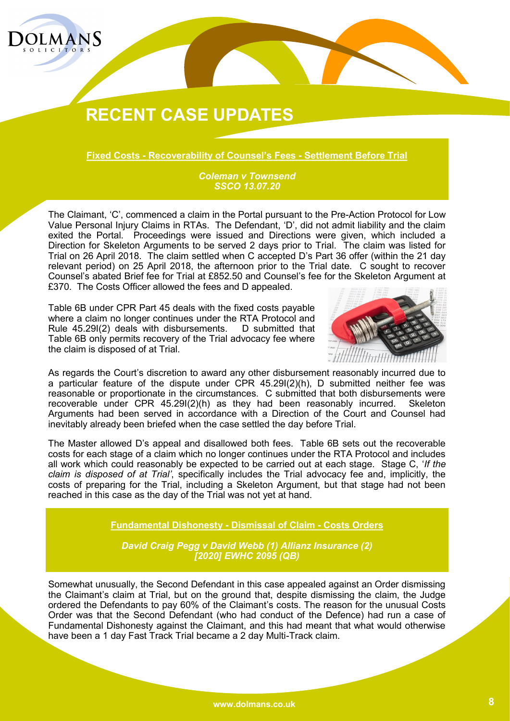

**Fixed Costs - Recoverability of Counsel's Fees - Settlement Before Trial**

*Coleman v Townsend SSCO 13.07.20*

The Claimant, 'C', commenced a claim in the Portal pursuant to the Pre-Action Protocol for Low Value Personal Injury Claims in RTAs. The Defendant, 'D', did not admit liability and the claim exited the Portal. Proceedings were issued and Directions were given, which included a Direction for Skeleton Arguments to be served 2 days prior to Trial. The claim was listed for Trial on 26 April 2018. The claim settled when C accepted D's Part 36 offer (within the 21 day relevant period) on 25 April 2018, the afternoon prior to the Trial date. C sought to recover Counsel's abated Brief fee for Trial at £852.50 and Counsel's fee for the Skeleton Argument at £370. The Costs Officer allowed the fees and D appealed.

Table 6B under CPR Part 45 deals with the fixed costs payable where a claim no longer continues under the RTA Protocol and Rule 45.29I(2) deals with disbursements. D submitted that Table 6B only permits recovery of the Trial advocacy fee where the claim is disposed of at Trial.



As regards the Court's discretion to award any other disbursement reasonably incurred due to a particular feature of the dispute under CPR 45.29I(2)(h), D submitted neither fee was reasonable or proportionate in the circumstances. C submitted that both disbursements were recoverable under CPR 45.29I(2)(h) as they had been reasonably incurred. Skeleton Arguments had been served in accordance with a Direction of the Court and Counsel had inevitably already been briefed when the case settled the day before Trial.

The Master allowed D's appeal and disallowed both fees. Table 6B sets out the recoverable costs for each stage of a claim which no longer continues under the RTA Protocol and includes all work which could reasonably be expected to be carried out at each stage. Stage C, '*If the claim is disposed of at Trial'*, specifically includes the Trial advocacy fee and, implicitly, the costs of preparing for the Trial, including a Skeleton Argument, but that stage had not been reached in this case as the day of the Trial was not yet at hand.

**Fundamental Dishonesty - Dismissal of Claim - Costs Orders**

*David Craig Pegg v David Webb (1) Allianz Insurance (2) [2020] EWHC 2095 (QB)*

Somewhat unusually, the Second Defendant in this case appealed against an Order dismissing the Claimant's claim at Trial, but on the ground that, despite dismissing the claim, the Judge ordered the Defendants to pay 60% of the Claimant's costs. The reason for the unusual Costs Order was that the Second Defendant (who had conduct of the Defence) had run a case of Fundamental Dishonesty against the Claimant, and this had meant that what would otherwise have been a 1 day Fast Track Trial became a 2 day Multi-Track claim.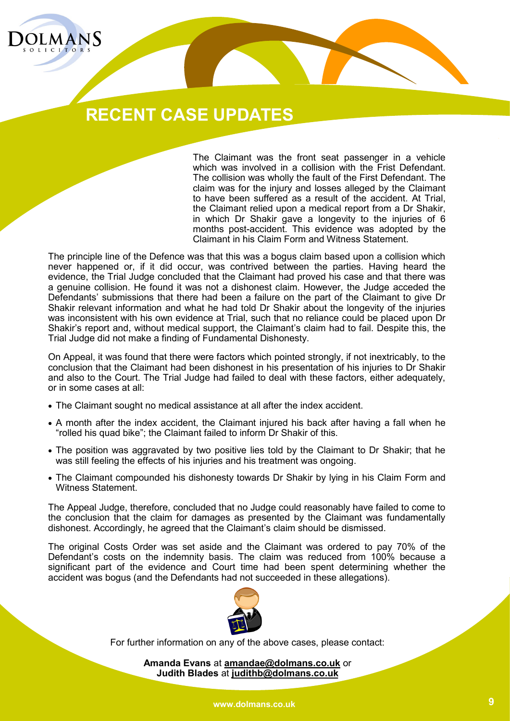

The Claimant was the front seat passenger in a vehicle which was involved in a collision with the Frist Defendant. The collision was wholly the fault of the First Defendant. The claim was for the injury and losses alleged by the Claimant to have been suffered as a result of the accident. At Trial, the Claimant relied upon a medical report from a Dr Shakir, in which Dr Shakir gave a longevity to the injuries of 6 months post-accident. This evidence was adopted by the Claimant in his Claim Form and Witness Statement.

The principle line of the Defence was that this was a bogus claim based upon a collision which never happened or, if it did occur, was contrived between the parties. Having heard the evidence, the Trial Judge concluded that the Claimant had proved his case and that there was a genuine collision. He found it was not a dishonest claim. However, the Judge acceded the Defendants' submissions that there had been a failure on the part of the Claimant to give Dr Shakir relevant information and what he had told Dr Shakir about the longevity of the injuries was inconsistent with his own evidence at Trial, such that no reliance could be placed upon Dr Shakir's report and, without medical support, the Claimant's claim had to fail. Despite this, the Trial Judge did not make a finding of Fundamental Dishonesty.

On Appeal, it was found that there were factors which pointed strongly, if not inextricably, to the conclusion that the Claimant had been dishonest in his presentation of his injuries to Dr Shakir and also to the Court. The Trial Judge had failed to deal with these factors, either adequately, or in some cases at all:

- The Claimant sought no medical assistance at all after the index accident.
- A month after the index accident, the Claimant injured his back after having a fall when he "rolled his quad bike"; the Claimant failed to inform Dr Shakir of this.
- The position was aggravated by two positive lies told by the Claimant to Dr Shakir; that he was still feeling the effects of his injuries and his treatment was ongoing.
- The Claimant compounded his dishonesty towards Dr Shakir by lying in his Claim Form and Witness Statement.

The Appeal Judge, therefore, concluded that no Judge could reasonably have failed to come to the conclusion that the claim for damages as presented by the Claimant was fundamentally dishonest. Accordingly, he agreed that the Claimant's claim should be dismissed.

The original Costs Order was set aside and the Claimant was ordered to pay 70% of the Defendant's costs on the indemnity basis. The claim was reduced from 100% because a significant part of the evidence and Court time had been spent determining whether the accident was bogus (and the Defendants had not succeeded in these allegations).



For further information on any of the above cases, please contact:

**Amanda Evans** at **amandae@dolmans.co.uk** or **Judith Blades** at **judithb@dolmans.co.uk**